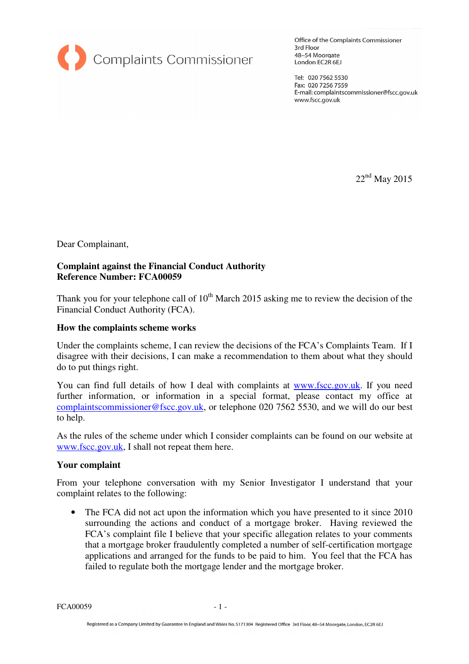

Office of the Complaints Commissioner 3rd Floor 48-54 Moorgate London EC2R 6EJ

Tel: 020 7562 5530 Fax: 020 7256 7559 E-mail: complaintscommissioner@fscc.gov.uk www.fscc.gov.uk

22nd May 2015

Dear Complainant,

## **Complaint against the Financial Conduct Authority Reference Number: FCA00059**

Thank you for your telephone call of  $10<sup>th</sup>$  March 2015 asking me to review the decision of the Financial Conduct Authority (FCA).

## **How the complaints scheme works**

Under the complaints scheme, I can review the decisions of the FCA's Complaints Team. If I disagree with their decisions, I can make a recommendation to them about what they should do to put things right.

You can find full details of how I deal with complaints at www.fscc.gov.uk. If you need further information, or information in a special format, please contact my office at complaintscommissioner@fscc.gov.uk, or telephone 020 7562 5530, and we will do our best to help.

As the rules of the scheme under which I consider complaints can be found on our website at www.fscc.gov.uk, I shall not repeat them here.

## **Your complaint**

From your telephone conversation with my Senior Investigator I understand that your complaint relates to the following:

• The FCA did not act upon the information which you have presented to it since 2010 surrounding the actions and conduct of a mortgage broker. Having reviewed the FCA's complaint file I believe that your specific allegation relates to your comments that a mortgage broker fraudulently completed a number of self-certification mortgage applications and arranged for the funds to be paid to him. You feel that the FCA has failed to regulate both the mortgage lender and the mortgage broker.

FCA00059 - 1 -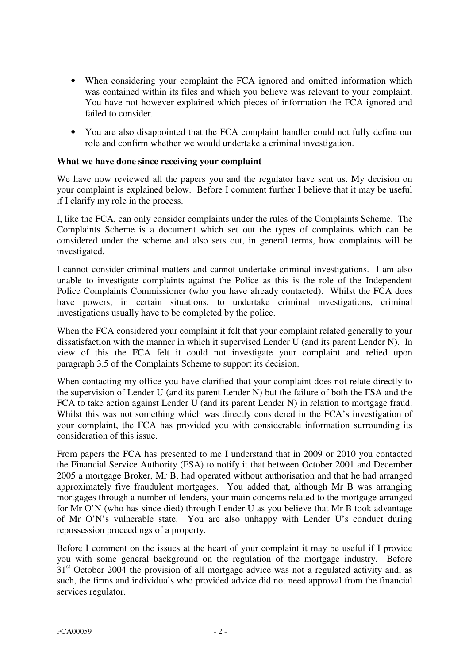- When considering your complaint the FCA ignored and omitted information which was contained within its files and which you believe was relevant to your complaint. You have not however explained which pieces of information the FCA ignored and failed to consider.
- You are also disappointed that the FCA complaint handler could not fully define our role and confirm whether we would undertake a criminal investigation.

## **What we have done since receiving your complaint**

We have now reviewed all the papers you and the regulator have sent us. My decision on your complaint is explained below. Before I comment further I believe that it may be useful if I clarify my role in the process.

I, like the FCA, can only consider complaints under the rules of the Complaints Scheme. The Complaints Scheme is a document which set out the types of complaints which can be considered under the scheme and also sets out, in general terms, how complaints will be investigated.

I cannot consider criminal matters and cannot undertake criminal investigations. I am also unable to investigate complaints against the Police as this is the role of the Independent Police Complaints Commissioner (who you have already contacted). Whilst the FCA does have powers, in certain situations, to undertake criminal investigations, criminal investigations usually have to be completed by the police.

When the FCA considered your complaint it felt that your complaint related generally to your dissatisfaction with the manner in which it supervised Lender U (and its parent Lender N). In view of this the FCA felt it could not investigate your complaint and relied upon paragraph 3.5 of the Complaints Scheme to support its decision.

When contacting my office you have clarified that your complaint does not relate directly to the supervision of Lender U (and its parent Lender N) but the failure of both the FSA and the FCA to take action against Lender U (and its parent Lender N) in relation to mortgage fraud. Whilst this was not something which was directly considered in the FCA's investigation of your complaint, the FCA has provided you with considerable information surrounding its consideration of this issue.

From papers the FCA has presented to me I understand that in 2009 or 2010 you contacted the Financial Service Authority (FSA) to notify it that between October 2001 and December 2005 a mortgage Broker, Mr B, had operated without authorisation and that he had arranged approximately five fraudulent mortgages. You added that, although Mr B was arranging mortgages through a number of lenders, your main concerns related to the mortgage arranged for Mr O'N (who has since died) through Lender U as you believe that Mr B took advantage of Mr O'N's vulnerable state. You are also unhappy with Lender U's conduct during repossession proceedings of a property.

Before I comment on the issues at the heart of your complaint it may be useful if I provide you with some general background on the regulation of the mortgage industry. Before 31<sup>st</sup> October 2004 the provision of all mortgage advice was not a regulated activity and, as such, the firms and individuals who provided advice did not need approval from the financial services regulator.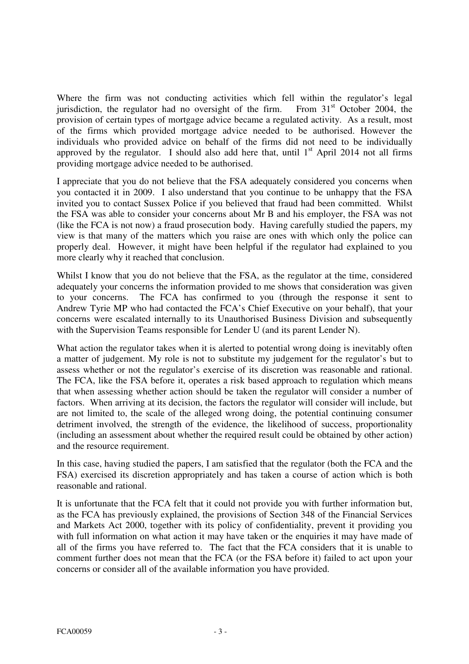Where the firm was not conducting activities which fell within the regulator's legal iurisdiction, the regulator had no oversight of the firm. From  $31<sup>st</sup>$  October 2004, the jurisdiction, the regulator had no oversight of the firm. provision of certain types of mortgage advice became a regulated activity. As a result, most of the firms which provided mortgage advice needed to be authorised. However the individuals who provided advice on behalf of the firms did not need to be individually approved by the regulator. I should also add here that, until  $1<sup>st</sup>$  April 2014 not all firms providing mortgage advice needed to be authorised.

I appreciate that you do not believe that the FSA adequately considered you concerns when you contacted it in 2009. I also understand that you continue to be unhappy that the FSA invited you to contact Sussex Police if you believed that fraud had been committed. Whilst the FSA was able to consider your concerns about Mr B and his employer, the FSA was not (like the FCA is not now) a fraud prosecution body. Having carefully studied the papers, my view is that many of the matters which you raise are ones with which only the police can properly deal. However, it might have been helpful if the regulator had explained to you more clearly why it reached that conclusion.

Whilst I know that you do not believe that the FSA, as the regulator at the time, considered adequately your concerns the information provided to me shows that consideration was given to your concerns. The FCA has confirmed to you (through the response it sent to Andrew Tyrie MP who had contacted the FCA's Chief Executive on your behalf), that your concerns were escalated internally to its Unauthorised Business Division and subsequently with the Supervision Teams responsible for Lender U (and its parent Lender N).

What action the regulator takes when it is alerted to potential wrong doing is inevitably often a matter of judgement. My role is not to substitute my judgement for the regulator's but to assess whether or not the regulator's exercise of its discretion was reasonable and rational. The FCA, like the FSA before it, operates a risk based approach to regulation which means that when assessing whether action should be taken the regulator will consider a number of factors. When arriving at its decision, the factors the regulator will consider will include, but are not limited to, the scale of the alleged wrong doing, the potential continuing consumer detriment involved, the strength of the evidence, the likelihood of success, proportionality (including an assessment about whether the required result could be obtained by other action) and the resource requirement.

In this case, having studied the papers, I am satisfied that the regulator (both the FCA and the FSA) exercised its discretion appropriately and has taken a course of action which is both reasonable and rational.

It is unfortunate that the FCA felt that it could not provide you with further information but, as the FCA has previously explained, the provisions of Section 348 of the Financial Services and Markets Act 2000, together with its policy of confidentiality, prevent it providing you with full information on what action it may have taken or the enquiries it may have made of all of the firms you have referred to. The fact that the FCA considers that it is unable to comment further does not mean that the FCA (or the FSA before it) failed to act upon your concerns or consider all of the available information you have provided.